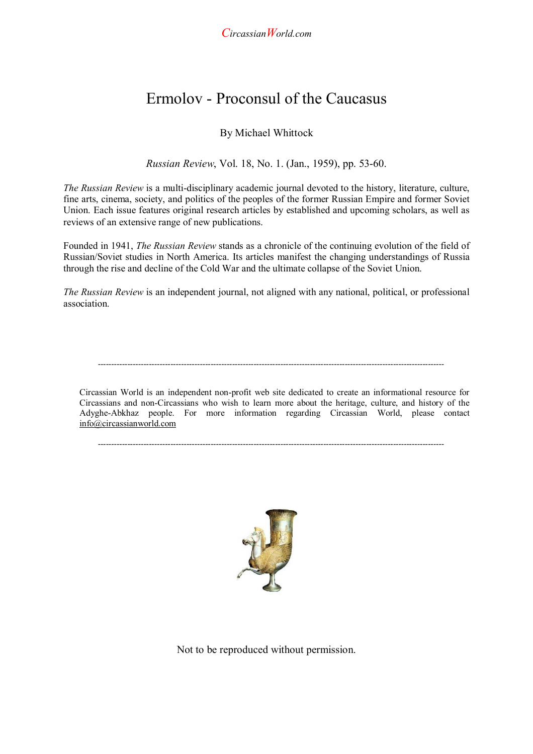*CircassianWorld.com* 

## Ermolov - Proconsul of the Caucasus

## By Michael Whittock

*Russian Review*, Vol. 18, No. 1. (Jan., 1959), pp. 53-60.

*The Russian Review* is a multi-disciplinary academic journal devoted to the history, literature, culture, fine arts, cinema, society, and politics of the peoples of the former Russian Empire and former Soviet Union. Each issue features original research articles by established and upcoming scholars, as well as reviews of an extensive range of new publications.

Founded in 1941, *The Russian Review* stands as a chronicle of the continuing evolution of the field of Russian/Soviet studies in North America. Its articles manifest the changing understandings of Russia through the rise and decline of the Cold War and the ultimate collapse of the Soviet Union.

*The Russian Review* is an independent journal, not aligned with any national, political, or professional association.

---------------------------------------------------------------------------------------------------------------------------------

Circassian World is an independent non-profit web site dedicated to create an informational resource for Circassians and non-Circassians who wish to learn more about the heritage, culture, and history of the Adyghe-Abkhaz people. For more information regarding Circassian World, please contact info@circassianworld.com

 $-1.1$ 



Not to be reproduced without permission.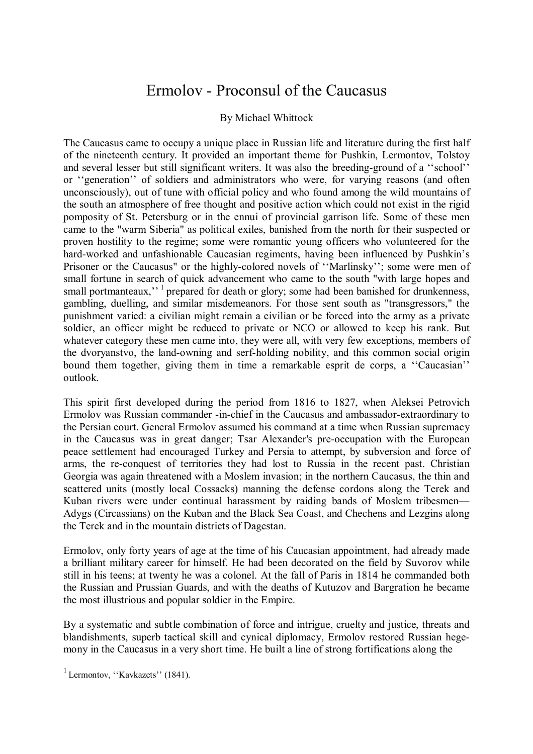## Ermolov - Proconsul of the Caucasus

## By Michael Whittock

The Caucasus came to occupy a unique place in Russian life and literature during the first half of the nineteenth century. It provided an important theme for Pushkin, Lermontov, Tolstoy and several lesser but still significant writers. It was also the breeding-ground of a ''school'' or ''generation'' of soldiers and administrators who were, for varying reasons (and often unconsciously), out of tune with official policy and who found among the wild mountains of the south an atmosphere of free thought and positive action which could not exist in the rigid pomposity of St. Petersburg or in the ennui of provincial garrison life. Some of these men came to the "warm Siberia" as political exiles, banished from the north for their suspected or proven hostility to the regime; some were romantic young officers who volunteered for the hard-worked and unfashionable Caucasian regiments, having been influenced by Pushkin's Prisoner or the Caucasus" or the highly-colored novels of ''Marlinsky''; some were men of small fortune in search of quick advancement who came to the south "with large hopes and small portmanteaux,"<sup>1</sup> prepared for death or glory; some had been banished for drunkenness, gambling, duelling, and similar misdemeanors. For those sent south as "transgressors," the punishment varied: a civilian might remain a civilian or be forced into the army as a private soldier, an officer might be reduced to private or NCO or allowed to keep his rank. But whatever category these men came into, they were all, with very few exceptions, members of the dvoryanstvo, the land-owning and serf-holding nobility, and this common social origin bound them together, giving them in time a remarkable esprit de corps, a ''Caucasian'' outlook.

This spirit first developed during the period from 1816 to 1827, when Aleksei Petrovich Ermolov was Russian commander -in-chief in the Caucasus and ambassador-extraordinary to the Persian court. General Ermolov assumed his command at a time when Russian supremacy in the Caucasus was in great danger; Tsar Alexander's pre-occupation with the European peace settlement had encouraged Turkey and Persia to attempt, by subversion and force of arms, the re-conquest of territories they had lost to Russia in the recent past. Christian Georgia was again threatened with a Moslem invasion; in the northern Caucasus, the thin and scattered units (mostly local Cossacks) manning the defense cordons along the Terek and Kuban rivers were under continual harassment by raiding bands of Moslem tribesmen— Adygs (Circassians) on the Kuban and the Black Sea Coast, and Chechens and Lezgins along the Terek and in the mountain districts of Dagestan.

Ermolov, only forty years of age at the time of his Caucasian appointment, had already made a brilliant military career for himself. He had been decorated on the field by Suvorov while still in his teens; at twenty he was a colonel. At the fall of Paris in 1814 he commanded both the Russian and Prussian Guards, and with the deaths of Kutuzov and Bargration he became the most illustrious and popular soldier in the Empire.

By a systematic and subtle combination of force and intrigue, cruelty and justice, threats and blandishments, superb tactical skill and cynical diplomacy, Ermolov restored Russian hegemony in the Caucasus in a very short time. He built a line of strong fortifications along the

<sup>1</sup> Lermontov, "Kavkazets"  $(1841)$ .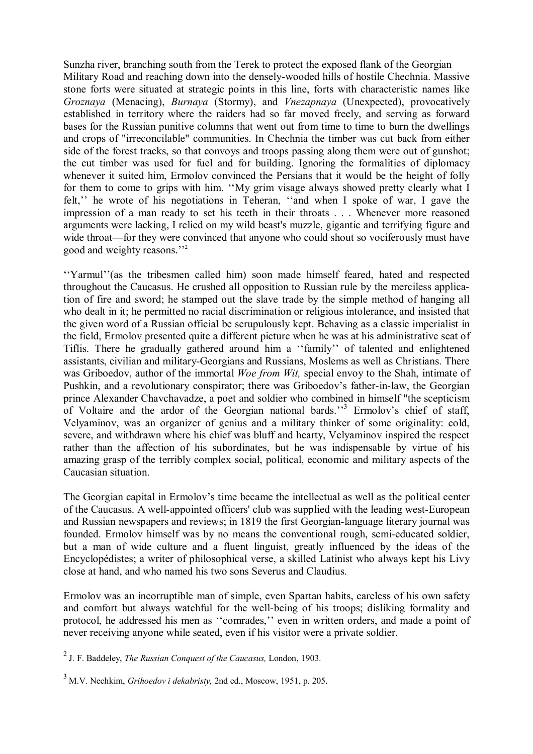Sunzha river, branching south from the Terek to protect the exposed flank of the Georgian Military Road and reaching down into the densely-wooded hills of hostile Chechnia. Massive stone forts were situated at strategic points in this line, forts with characteristic names like *Groznaya* (Menacing), *Burnaya* (Stormy), and *Vnezapnaya* (Unexpected), provocatively established in territory where the raiders had so far moved freely, and serving as forward bases for the Russian punitive columns that went out from time to time to burn the dwellings and crops of "irreconcilable" communities. In Chechnia the timber was cut back from either side of the forest tracks, so that convoys and troops passing along them were out of gunshot; the cut timber was used for fuel and for building. Ignoring the formalities of diplomacy whenever it suited him, Ermolov convinced the Persians that it would be the height of folly for them to come to grips with him. ''My grim visage always showed pretty clearly what I felt,'' he wrote of his negotiations in Teheran, ''and when I spoke of war, I gave the impression of a man ready to set his teeth in their throats . . . Whenever more reasoned arguments were lacking, I relied on my wild beast's muzzle, gigantic and terrifying figure and wide throat—for they were convinced that anyone who could shout so vociferously must have good and weighty reasons.''2

''Yarmul''(as the tribesmen called him) soon made himself feared, hated and respected throughout the Caucasus. He crushed all opposition to Russian rule by the merciless application of fire and sword; he stamped out the slave trade by the simple method of hanging all who dealt in it; he permitted no racial discrimination or religious intolerance, and insisted that the given word of a Russian official be scrupulously kept. Behaving as a classic imperialist in the field, Ermolov presented quite a different picture when he was at his administrative seat of Tiflis. There he gradually gathered around him a ''family'' of talented and enlightened assistants, civilian and military-Georgians and Russians, Moslems as well as Christians. There was Griboedov, author of the immortal *Woe from Wit,* special envoy to the Shah, intimate of Pushkin, and a revolutionary conspirator; there was Griboedov's father-in-law, the Georgian prince Alexander Chavchavadze, a poet and soldier who combined in himself "the scepticism of Voltaire and the ardor of the Georgian national bards."<sup>3</sup> Ermolov's chief of staff, Velyaminov, was an organizer of genius and a military thinker of some originality: cold, severe, and withdrawn where his chief was bluff and hearty, Velyaminov inspired the respect rather than the affection of his subordinates, but he was indispensable by virtue of his amazing grasp of the terribly complex social, political, economic and military aspects of the Caucasian situation.

The Georgian capital in Ermolov's time became the intellectual as well as the political center of the Caucasus. A well-appointed officers' club was supplied with the leading west-European and Russian newspapers and reviews; in 1819 the first Georgian-language literary journal was founded. Ermolov himself was by no means the conventional rough, semi-educated soldier, but a man of wide culture and a fluent linguist, greatly influenced by the ideas of the Encyclopédistes; a writer of philosophical verse, a skilled Latinist who always kept his Livy close at hand, and who named his two sons Severus and Claudius.

Ermolov was an incorruptible man of simple, even Spartan habits, careless of his own safety and comfort but always watchful for the well-being of his troops; disliking formality and protocol, he addressed his men as ''comrades,'' even in written orders, and made a point of never receiving anyone while seated, even if his visitor were a private soldier.

2 J. F. Baddeley, *The Russian Conquest of the Caucasus,* London, 1903.

<sup>3</sup> M.V. Nechkim, *Grihoedov i dekabristy,* 2nd ed., Moscow, 1951, p. 205.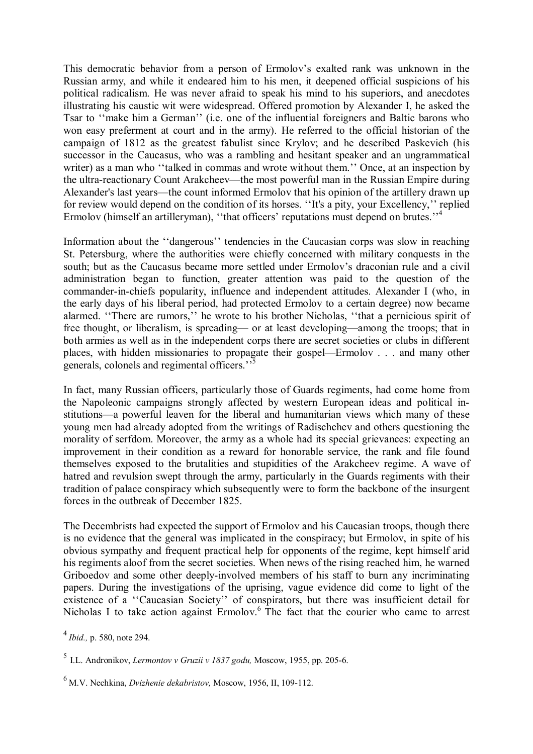This democratic behavior from a person of Ermolov's exalted rank was unknown in the Russian army, and while it endeared him to his men, it deepened official suspicions of his political radicalism. He was never afraid to speak his mind to his superiors, and anecdotes illustrating his caustic wit were widespread. Offered promotion by Alexander I, he asked the Tsar to ''make him a German'' (i.e. one of the influential foreigners and Baltic barons who won easy preferment at court and in the army). He referred to the official historian of the campaign of 1812 as the greatest fabulist since Krylov; and he described Paskevich (his successor in the Caucasus, who was a rambling and hesitant speaker and an ungrammatical writer) as a man who "talked in commas and wrote without them." Once, at an inspection by the ultra-reactionary Count Arakcheev—the most powerful man in the Russian Empire during Alexander's last years—the count informed Ermolov that his opinion of the artillery drawn up for review would depend on the condition of its horses. ''It's a pity, your Excellency,'' replied Ermolov (himself an artilleryman), "that officers' reputations must depend on brutes."<sup>4</sup>

Information about the ''dangerous'' tendencies in the Caucasian corps was slow in reaching St. Petersburg, where the authorities were chiefly concerned with military conquests in the south; but as the Caucasus became more settled under Ermolov's draconian rule and a civil administration began to function, greater attention was paid to the question of the commander-in-chiefs popularity, influence and independent attitudes. Alexander I (who, in the early days of his liberal period, had protected Ermolov to a certain degree) now became alarmed. ''There are rumors,'' he wrote to his brother Nicholas, ''that a pernicious spirit of free thought, or liberalism, is spreading— or at least developing—among the troops; that in both armies as well as in the independent corps there are secret societies or clubs in different places, with hidden missionaries to propagate their gospel—Ermolov . . . and many other generals, colonels and regimental officers."<sup>5</sup>

In fact, many Russian officers, particularly those of Guards regiments, had come home from the Napoleonic campaigns strongly affected by western European ideas and political institutions—a powerful leaven for the liberal and humanitarian views which many of these young men had already adopted from the writings of Radischchev and others questioning the morality of serfdom. Moreover, the army as a whole had its special grievances: expecting an improvement in their condition as a reward for honorable service, the rank and file found themselves exposed to the brutalities and stupidities of the Arakcheev regime. A wave of hatred and revulsion swept through the army, particularly in the Guards regiments with their tradition of palace conspiracy which subsequently were to form the backbone of the insurgent forces in the outbreak of December 1825.

The Decembrists had expected the support of Ermolov and his Caucasian troops, though there is no evidence that the general was implicated in the conspiracy; but Ermolov, in spite of his obvious sympathy and frequent practical help for opponents of the regime, kept himself arid his regiments aloof from the secret societies. When news of the rising reached him, he warned Griboedov and some other deeply-involved members of his staff to burn any incriminating papers. During the investigations of the uprising, vague evidence did come to light of the existence of a ''Caucasian Society'' of conspirators, but there was insufficient detail for Nicholas I to take action against Ermolov.<sup>6</sup> The fact that the courier who came to arrest

<sup>………</sup> <sup>4</sup>*Ibid.,* p. 580, note 294.

<sup>5</sup> I.L. Andronikov, *Lermontov v Gruzii v 1837 godu,* Moscow, 1955, pp. 205-6.

<sup>6</sup> M.V. Nechkina, *Dvizhenie dekabristov,* Moscow, 1956, II, 109-112.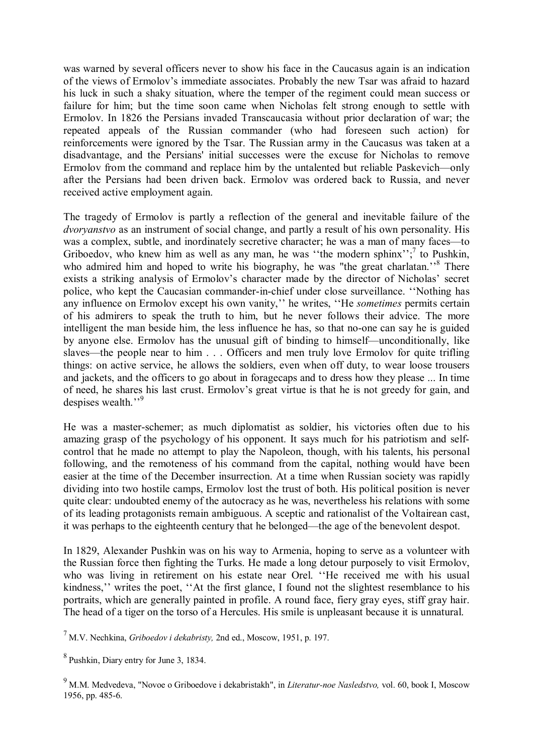was warned by several officers never to show his face in the Caucasus again is an indication of the views of Ermolov's immediate associates. Probably the new Tsar was afraid to hazard his luck in such a shaky situation, where the temper of the regiment could mean success or failure for him; but the time soon came when Nicholas felt strong enough to settle with Ermolov. In 1826 the Persians invaded Transcaucasia without prior declaration of war; the repeated appeals of the Russian commander (who had foreseen such action) for reinforcements were ignored by the Tsar. The Russian army in the Caucasus was taken at a disadvantage, and the Persians' initial successes were the excuse for Nicholas to remove Ermolov from the command and replace him by the untalented but reliable Paskevich—only after the Persians had been driven back. Ermolov was ordered back to Russia, and never received active employment again.

The tragedy of Ermolov is partly a reflection of the general and inevitable failure of the *dvoryanstvo* as an instrument of social change, and partly a result of his own personality. His was a complex, subtle, and inordinately secretive character; he was a man of many faces—to Griboedov, who knew him as well as any man, he was "the modern sphinx"; to Pushkin, who admired him and hoped to write his biography, he was "the great charlatan."<sup>8</sup> There exists a striking analysis of Ermolov's character made by the director of Nicholas' secret police, who kept the Caucasian commander-in-chief under close surveillance. ''Nothing has any influence on Ermolov except his own vanity,'' he writes, ''He *sometimes* permits certain of his admirers to speak the truth to him, but he never follows their advice. The more intelligent the man beside him, the less influence he has, so that no-one can say he is guided by anyone else. Ermolov has the unusual gift of binding to himself—unconditionally, like slaves—the people near to him . . . Officers and men truly love Ermolov for quite trifling things: on active service, he allows the soldiers, even when off duty, to wear loose trousers and jackets, and the officers to go about in foragecaps and to dress how they please ... In time of need, he shares his last crust. Ermolov's great virtue is that he is not greedy for gain, and despises wealth."<sup>9</sup>

He was a master-schemer; as much diplomatist as soldier, his victories often due to his amazing grasp of the psychology of his opponent. It says much for his patriotism and selfcontrol that he made no attempt to play the Napoleon, though, with his talents, his personal following, and the remoteness of his command from the capital, nothing would have been easier at the time of the December insurrection. At a time when Russian society was rapidly dividing into two hostile camps, Ermolov lost the trust of both. His political position is never quite clear: undoubted enemy of the autocracy as he was, nevertheless his relations with some of its leading protagonists remain ambiguous. A sceptic and rationalist of the Voltairean cast, it was perhaps to the eighteenth century that he belonged—the age of the benevolent despot.

In 1829, Alexander Pushkin was on his way to Armenia, hoping to serve as a volunteer with the Russian force then fighting the Turks. He made a long detour purposely to visit Ermolov, who was living in retirement on his estate near Orel. ''He received me with his usual kindness,'' writes the poet, ''At the first glance, I found not the slightest resemblance to his portraits, which are generally painted in profile. A round face, fiery gray eyes, stiff gray hair. The head of a tiger on the torso of a Hercules. His smile is unpleasant because it is unnatural.

7 M.V. Nechkina, *Griboedov i dekabristy,* 2nd ed., Moscow, 1951, p. 197.

8 Pushkin, Diary entry for June 3, 1834.

<sup>9</sup> M.M. Medvedeva, "Novoe o Griboedove i dekabristakh", in *Literatur-noe Nasledstvo,* vol. 60, book I, Moscow 1956, pp. 485-6.